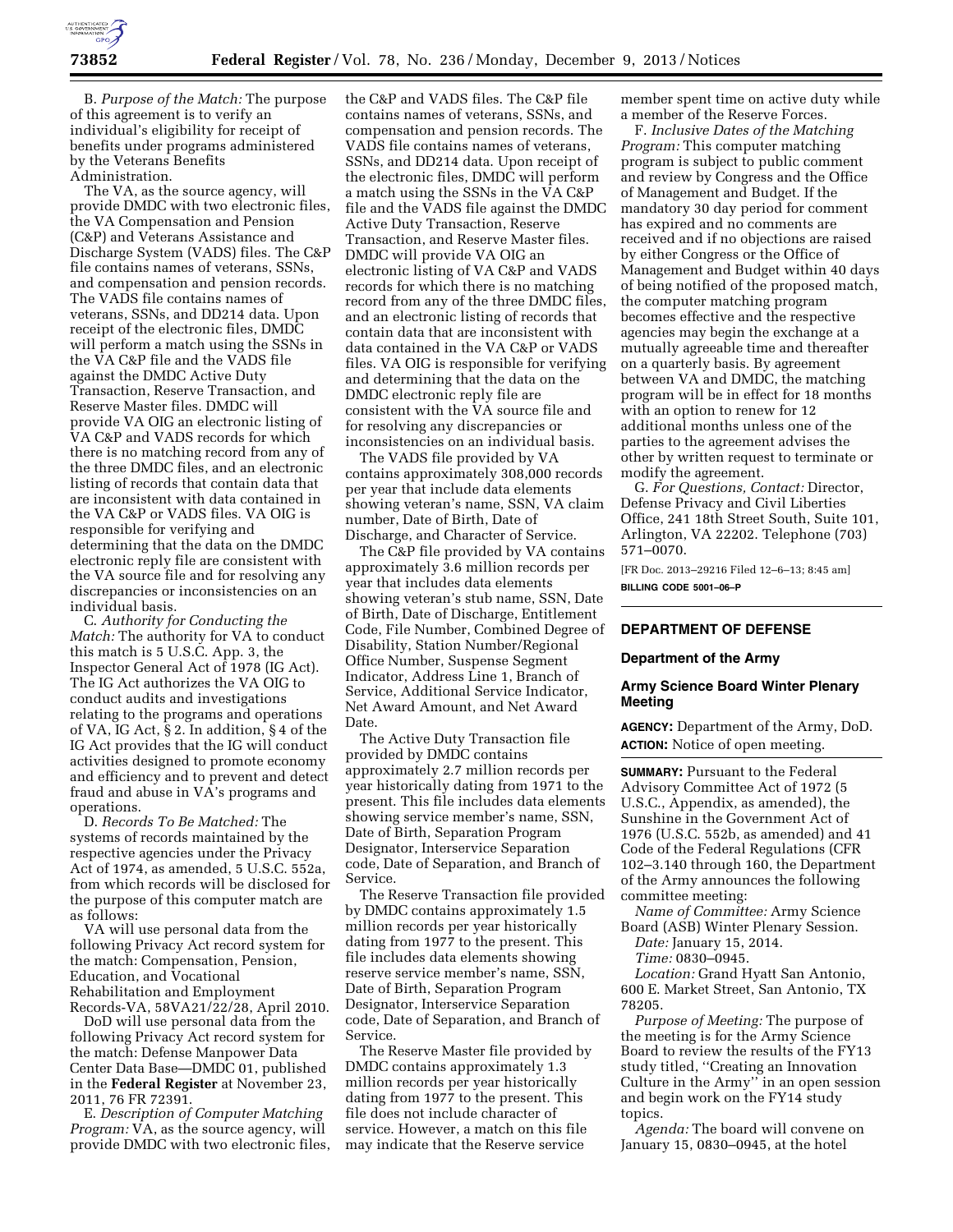

B. *Purpose of the Match:* The purpose of this agreement is to verify an individual's eligibility for receipt of benefits under programs administered by the Veterans Benefits Administration.

The VA, as the source agency, will provide DMDC with two electronic files, the VA Compensation and Pension (C&P) and Veterans Assistance and Discharge System (VADS) files. The C&P file contains names of veterans, SSNs, and compensation and pension records. The VADS file contains names of veterans, SSNs, and DD214 data. Upon receipt of the electronic files, DMDC will perform a match using the SSNs in the VA C&P file and the VADS file against the DMDC Active Duty Transaction, Reserve Transaction, and Reserve Master files. DMDC will provide VA OIG an electronic listing of VA C&P and VADS records for which there is no matching record from any of the three DMDC files, and an electronic listing of records that contain data that are inconsistent with data contained in the VA C&P or VADS files. VA OIG is responsible for verifying and determining that the data on the DMDC electronic reply file are consistent with the VA source file and for resolving any discrepancies or inconsistencies on an individual basis.

C. *Authority for Conducting the Match:* The authority for VA to conduct this match is 5 U.S.C. App. 3, the Inspector General Act of 1978 (IG Act). The IG Act authorizes the VA OIG to conduct audits and investigations relating to the programs and operations of VA, IG Act, § 2. In addition, § 4 of the IG Act provides that the IG will conduct activities designed to promote economy and efficiency and to prevent and detect fraud and abuse in VA's programs and operations.

D. *Records To Be Matched:* The systems of records maintained by the respective agencies under the Privacy Act of 1974, as amended, 5 U.S.C. 552a, from which records will be disclosed for the purpose of this computer match are as follows:

VA will use personal data from the following Privacy Act record system for the match: Compensation, Pension, Education, and Vocational Rehabilitation and Employment Records-VA, 58VA21/22/28, April 2010.

DoD will use personal data from the following Privacy Act record system for the match: Defense Manpower Data Center Data Base—DMDC 01, published in the **Federal Register** at November 23, 2011, 76 FR 72391.

E. *Description of Computer Matching Program:* VA, as the source agency, will provide DMDC with two electronic files,

the C&P and VADS files. The C&P file contains names of veterans, SSNs, and compensation and pension records. The VADS file contains names of veterans, SSNs, and DD214 data. Upon receipt of the electronic files, DMDC will perform a match using the SSNs in the VA C&P file and the VADS file against the DMDC Active Duty Transaction, Reserve Transaction, and Reserve Master files. DMDC will provide VA OIG an electronic listing of VA C&P and VADS records for which there is no matching record from any of the three DMDC files, and an electronic listing of records that contain data that are inconsistent with data contained in the VA C&P or VADS files. VA OIG is responsible for verifying and determining that the data on the DMDC electronic reply file are consistent with the VA source file and for resolving any discrepancies or inconsistencies on an individual basis.

The VADS file provided by VA contains approximately 308,000 records per year that include data elements showing veteran's name, SSN, VA claim number, Date of Birth, Date of Discharge, and Character of Service.

The C&P file provided by VA contains approximately 3.6 million records per year that includes data elements showing veteran's stub name, SSN, Date of Birth, Date of Discharge, Entitlement Code, File Number, Combined Degree of Disability, Station Number/Regional Office Number, Suspense Segment Indicator, Address Line 1, Branch of Service, Additional Service Indicator, Net Award Amount, and Net Award Date.

The Active Duty Transaction file provided by DMDC contains approximately 2.7 million records per year historically dating from 1971 to the present. This file includes data elements showing service member's name, SSN, Date of Birth, Separation Program Designator, Interservice Separation code, Date of Separation, and Branch of Service.

The Reserve Transaction file provided by DMDC contains approximately 1.5 million records per year historically dating from 1977 to the present. This file includes data elements showing reserve service member's name, SSN, Date of Birth, Separation Program Designator, Interservice Separation code, Date of Separation, and Branch of Service.

The Reserve Master file provided by DMDC contains approximately 1.3 million records per year historically dating from 1977 to the present. This file does not include character of service. However, a match on this file may indicate that the Reserve service

member spent time on active duty while a member of the Reserve Forces.

F. *Inclusive Dates of the Matching Program:* This computer matching program is subject to public comment and review by Congress and the Office of Management and Budget. If the mandatory 30 day period for comment has expired and no comments are received and if no objections are raised by either Congress or the Office of Management and Budget within 40 days of being notified of the proposed match, the computer matching program becomes effective and the respective agencies may begin the exchange at a mutually agreeable time and thereafter on a quarterly basis. By agreement between VA and DMDC, the matching program will be in effect for 18 months with an option to renew for 12 additional months unless one of the parties to the agreement advises the other by written request to terminate or modify the agreement.

G. *For Questions, Contact:* Director, Defense Privacy and Civil Liberties Office, 241 18th Street South, Suite 101, Arlington, VA 22202. Telephone (703) 571–0070.

[FR Doc. 2013–29216 Filed 12–6–13; 8:45 am] **BILLING CODE 5001–06–P** 

# **DEPARTMENT OF DEFENSE**

### **Department of the Army**

## **Army Science Board Winter Plenary Meeting**

**AGENCY:** Department of the Army, DoD. **ACTION:** Notice of open meeting.

**SUMMARY: Pursuant to the Federal** Advisory Committee Act of 1972 (5 U.S.C., Appendix, as amended), the Sunshine in the Government Act of 1976 (U.S.C. 552b, as amended) and 41 Code of the Federal Regulations (CFR 102–3.140 through 160, the Department of the Army announces the following committee meeting:

*Name of Committee:* Army Science Board (ASB) Winter Plenary Session.

- *Date:* January 15, 2014. *Time:* 0830–0945.
- 

*Location:* Grand Hyatt San Antonio, 600 E. Market Street, San Antonio, TX 78205.

*Purpose of Meeting:* The purpose of the meeting is for the Army Science Board to review the results of the FY13 study titled, ''Creating an Innovation Culture in the Army'' in an open session and begin work on the FY14 study topics.

*Agenda:* The board will convene on January 15, 0830–0945, at the hotel